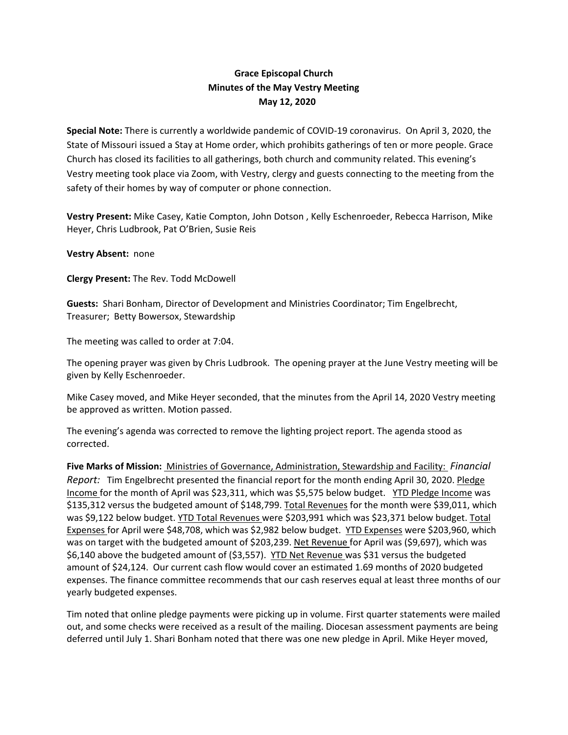## **Grace Episcopal Church Minutes of the May Vestry Meeting May 12, 2020**

**Special Note:** There is currently a worldwide pandemic of COVID‐19 coronavirus. On April 3, 2020, the State of Missouri issued a Stay at Home order, which prohibits gatherings of ten or more people. Grace Church has closed its facilities to all gatherings, both church and community related. This evening's Vestry meeting took place via Zoom, with Vestry, clergy and guests connecting to the meeting from the safety of their homes by way of computer or phone connection.

**Vestry Present:** Mike Casey, Katie Compton, John Dotson , Kelly Eschenroeder, Rebecca Harrison, Mike Heyer, Chris Ludbrook, Pat O'Brien, Susie Reis

**Vestry Absent:** none

**Clergy Present:** The Rev. Todd McDowell

**Guests:** Shari Bonham, Director of Development and Ministries Coordinator; Tim Engelbrecht, Treasurer; Betty Bowersox, Stewardship

The meeting was called to order at 7:04.

The opening prayer was given by Chris Ludbrook. The opening prayer at the June Vestry meeting will be given by Kelly Eschenroeder.

Mike Casey moved, and Mike Heyer seconded, that the minutes from the April 14, 2020 Vestry meeting be approved as written. Motion passed.

The evening's agenda was corrected to remove the lighting project report. The agenda stood as corrected.

**Five Marks of Mission:** Ministries of Governance, Administration, Stewardship and Facility: *Financial Report:* Tim Engelbrecht presented the financial report for the month ending April 30, 2020. Pledge Income for the month of April was \$23,311, which was \$5,575 below budget. YTD Pledge Income was \$135,312 versus the budgeted amount of \$148,799. Total Revenues for the month were \$39,011, which was \$9,122 below budget. YTD Total Revenues were \$203,991 which was \$23,371 below budget. Total Expenses for April were \$48,708, which was \$2,982 below budget. YTD Expenses were \$203,960, which was on target with the budgeted amount of \$203,239. Net Revenue for April was (\$9,697), which was \$6,140 above the budgeted amount of (\$3,557). YTD Net Revenue was \$31 versus the budgeted amount of \$24,124. Our current cash flow would cover an estimated 1.69 months of 2020 budgeted expenses. The finance committee recommends that our cash reserves equal at least three months of our yearly budgeted expenses.

Tim noted that online pledge payments were picking up in volume. First quarter statements were mailed out, and some checks were received as a result of the mailing. Diocesan assessment payments are being deferred until July 1. Shari Bonham noted that there was one new pledge in April. Mike Heyer moved,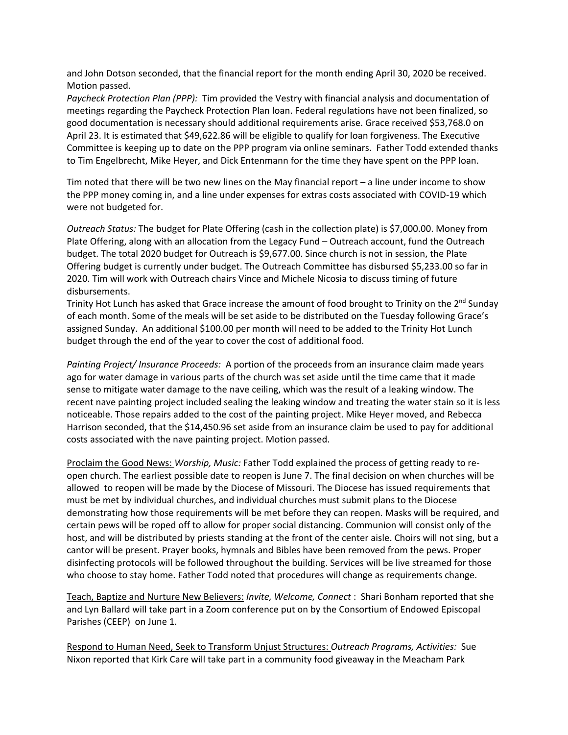and John Dotson seconded, that the financial report for the month ending April 30, 2020 be received. Motion passed.

*Paycheck Protection Plan (PPP):* Tim provided the Vestry with financial analysis and documentation of meetings regarding the Paycheck Protection Plan loan. Federal regulations have not been finalized, so good documentation is necessary should additional requirements arise. Grace received \$53,768.0 on April 23. It is estimated that \$49,622.86 will be eligible to qualify for loan forgiveness. The Executive Committee is keeping up to date on the PPP program via online seminars. Father Todd extended thanks to Tim Engelbrecht, Mike Heyer, and Dick Entenmann for the time they have spent on the PPP loan.

Tim noted that there will be two new lines on the May financial report – a line under income to show the PPP money coming in, and a line under expenses for extras costs associated with COVID‐19 which were not budgeted for.

*Outreach Status:* The budget for Plate Offering (cash in the collection plate) is \$7,000.00. Money from Plate Offering, along with an allocation from the Legacy Fund – Outreach account, fund the Outreach budget. The total 2020 budget for Outreach is \$9,677.00. Since church is not in session, the Plate Offering budget is currently under budget. The Outreach Committee has disbursed \$5,233.00 so far in 2020. Tim will work with Outreach chairs Vince and Michele Nicosia to discuss timing of future disbursements.

Trinity Hot Lunch has asked that Grace increase the amount of food brought to Trinity on the 2<sup>nd</sup> Sunday of each month. Some of the meals will be set aside to be distributed on the Tuesday following Grace's assigned Sunday. An additional \$100.00 per month will need to be added to the Trinity Hot Lunch budget through the end of the year to cover the cost of additional food.

*Painting Project/ Insurance Proceeds:* A portion of the proceeds from an insurance claim made years ago for water damage in various parts of the church was set aside until the time came that it made sense to mitigate water damage to the nave ceiling, which was the result of a leaking window. The recent nave painting project included sealing the leaking window and treating the water stain so it is less noticeable. Those repairs added to the cost of the painting project. Mike Heyer moved, and Rebecca Harrison seconded, that the \$14,450.96 set aside from an insurance claim be used to pay for additional costs associated with the nave painting project. Motion passed.

Proclaim the Good News: *Worship, Music:* Father Todd explained the process of getting ready to re‐ open church. The earliest possible date to reopen is June 7. The final decision on when churches will be allowed to reopen will be made by the Diocese of Missouri. The Diocese has issued requirements that must be met by individual churches, and individual churches must submit plans to the Diocese demonstrating how those requirements will be met before they can reopen. Masks will be required, and certain pews will be roped off to allow for proper social distancing. Communion will consist only of the host, and will be distributed by priests standing at the front of the center aisle. Choirs will not sing, but a cantor will be present. Prayer books, hymnals and Bibles have been removed from the pews. Proper disinfecting protocols will be followed throughout the building. Services will be live streamed for those who choose to stay home. Father Todd noted that procedures will change as requirements change.

Teach, Baptize and Nurture New Believers: *Invite, Welcome, Connect* : Shari Bonham reported that she and Lyn Ballard will take part in a Zoom conference put on by the Consortium of Endowed Episcopal Parishes (CEEP) on June 1.

Respond to Human Need, Seek to Transform Unjust Structures: *Outreach Programs, Activities:* Sue Nixon reported that Kirk Care will take part in a community food giveaway in the Meacham Park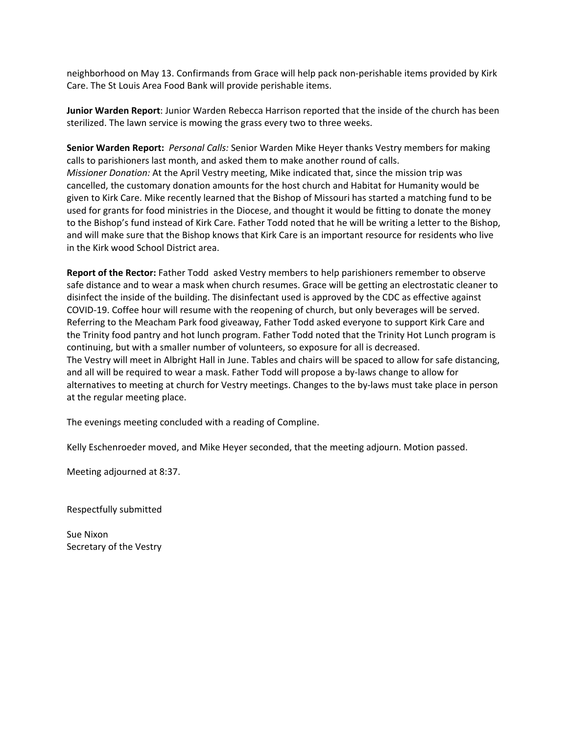neighborhood on May 13. Confirmands from Grace will help pack non‐perishable items provided by Kirk Care. The St Louis Area Food Bank will provide perishable items.

**Junior Warden Report**: Junior Warden Rebecca Harrison reported that the inside of the church has been sterilized. The lawn service is mowing the grass every two to three weeks.

**Senior Warden Report:** *Personal Calls:* Senior Warden Mike Heyer thanks Vestry members for making calls to parishioners last month, and asked them to make another round of calls. *Missioner Donation:* At the April Vestry meeting, Mike indicated that, since the mission trip was cancelled, the customary donation amounts for the host church and Habitat for Humanity would be given to Kirk Care. Mike recently learned that the Bishop of Missouri has started a matching fund to be used for grants for food ministries in the Diocese, and thought it would be fitting to donate the money to the Bishop's fund instead of Kirk Care. Father Todd noted that he will be writing a letter to the Bishop, and will make sure that the Bishop knows that Kirk Care is an important resource for residents who live in the Kirk wood School District area.

**Report of the Rector:** Father Todd asked Vestry members to help parishioners remember to observe safe distance and to wear a mask when church resumes. Grace will be getting an electrostatic cleaner to disinfect the inside of the building. The disinfectant used is approved by the CDC as effective against COVID‐19. Coffee hour will resume with the reopening of church, but only beverages will be served. Referring to the Meacham Park food giveaway, Father Todd asked everyone to support Kirk Care and the Trinity food pantry and hot lunch program. Father Todd noted that the Trinity Hot Lunch program is continuing, but with a smaller number of volunteers, so exposure for all is decreased. The Vestry will meet in Albright Hall in June. Tables and chairs will be spaced to allow for safe distancing, and all will be required to wear a mask. Father Todd will propose a by-laws change to allow for alternatives to meeting at church for Vestry meetings. Changes to the by‐laws must take place in person at the regular meeting place.

The evenings meeting concluded with a reading of Compline.

Kelly Eschenroeder moved, and Mike Heyer seconded, that the meeting adjourn. Motion passed.

Meeting adjourned at 8:37.

Respectfully submitted

Sue Nixon Secretary of the Vestry